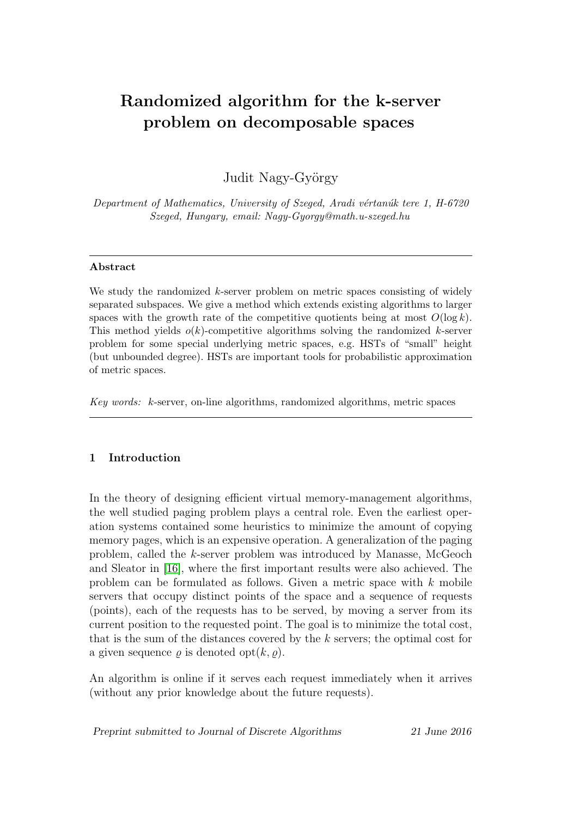# Randomized algorithm for the k-server problem on decomposable spaces

Judit Nagy-György

Department of Mathematics, University of Szeged, Aradi vértanúk tere 1, H-6720 Szeged, Hungary, email: Nagy-Gyorgy@math.u-szeged.hu

#### Abstract

We study the randomized  $k$ -server problem on metric spaces consisting of widely separated subspaces. We give a method which extends existing algorithms to larger spaces with the growth rate of the competitive quotients being at most  $O(\log k)$ . This method yields  $o(k)$ -competitive algorithms solving the randomized k-server problem for some special underlying metric spaces, e.g. HSTs of "small" height (but unbounded degree). HSTs are important tools for probabilistic approximation of metric spaces.

Key words: k-server, on-line algorithms, randomized algorithms, metric spaces

## 1 Introduction

In the theory of designing efficient virtual memory-management algorithms, the well studied paging problem plays a central role. Even the earliest operation systems contained some heuristics to minimize the amount of copying memory pages, which is an expensive operation. A generalization of the paging problem, called the k-server problem was introduced by Manasse, McGeoch and Sleator in [\[16\]](#page-15-0), where the first important results were also achieved. The problem can be formulated as follows. Given a metric space with k mobile servers that occupy distinct points of the space and a sequence of requests (points), each of the requests has to be served, by moving a server from its current position to the requested point. The goal is to minimize the total cost, that is the sum of the distances covered by the k servers; the optimal cost for a given sequence  $\rho$  is denoted opt $(k, \rho)$ .

An algorithm is online if it serves each request immediately when it arrives (without any prior knowledge about the future requests).

Preprint submitted to Journal of Discrete Algorithms 21 June 2016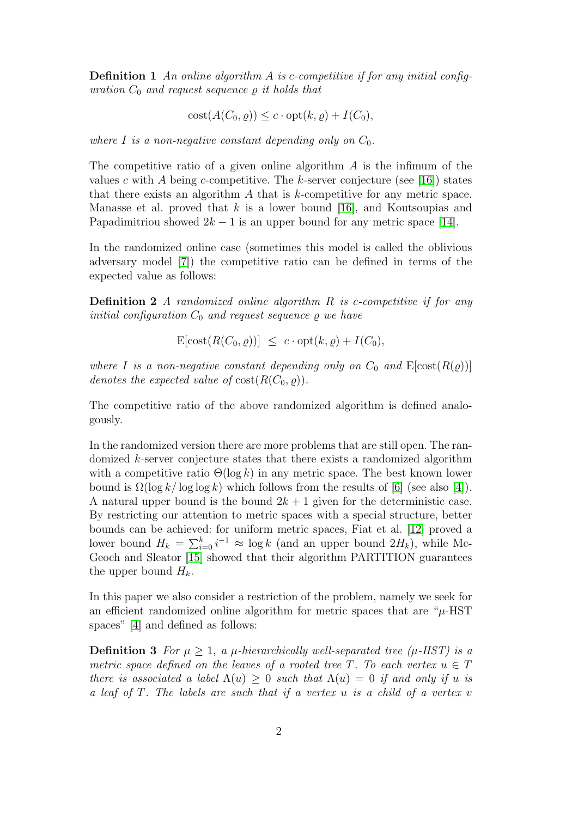**Definition 1** An online algorithm A is c-competitive if for any initial configuration  $C_0$  and request sequence  $\rho$  it holds that

$$
cost(A(C_0, \varrho)) \le c \cdot opt(k, \varrho) + I(C_0),
$$

where I is a non-negative constant depending only on  $C_0$ .

The competitive ratio of a given online algorithm  $\tilde{A}$  is the infimum of the values c with A being c-competitive. The k-server conjecture (see [\[16\]](#page-15-0)) states that there exists an algorithm  $A$  that is  $k$ -competitive for any metric space. Manasse et al. proved that  $k$  is a lower bound [\[16\]](#page-15-0), and Koutsoupias and Papadimitriou showed  $2k - 1$  is an upper bound for any metric space [\[14\]](#page-15-1).

In the randomized online case (sometimes this model is called the oblivious adversary model [\[7\]](#page-15-2)) the competitive ratio can be defined in terms of the expected value as follows:

**Definition 2** A randomized online algorithm R is c-competitive if for any initial configuration  $C_0$  and request sequence  $\rho$  we have

$$
\mathrm{E}[\mathrm{cost}(R(C_0, \varrho))] \ \leq \ c \cdot \mathrm{opt}(k, \varrho) + I(C_0),
$$

where I is a non-negative constant depending only on  $C_0$  and  $E[\text{cost}(R(\rho))]$ denotes the expected value of  $cost(R(C_0, \rho))$ .

The competitive ratio of the above randomized algorithm is defined analogously.

In the randomized version there are more problems that are still open. The randomized k-server conjecture states that there exists a randomized algorithm with a competitive ratio  $\Theta(\log k)$  in any metric space. The best known lower bound is  $\Omega(\log k / \log \log k)$  which follows from the results of [\[6\]](#page-15-3) (see also [\[4\]](#page-15-4)). A natural upper bound is the bound  $2k + 1$  given for the deterministic case. By restricting our attention to metric spaces with a special structure, better bounds can be achieved: for uniform metric spaces, Fiat et al. [\[12\]](#page-15-5) proved a lower bound  $H_k = \sum_{i=0}^k i^{-1} \approx \log k$  (and an upper bound  $2H_k$ ), while Mc-Geoch and Sleator [\[15\]](#page-15-6) showed that their algorithm PARTITION guarantees the upper bound  $H_k$ .

In this paper we also consider a restriction of the problem, namely we seek for an efficient randomized online algorithm for metric spaces that are " $\mu$ -HST spaces" [\[4\]](#page-15-4) and defined as follows:

**Definition 3** For  $\mu \geq 1$ , a  $\mu$ -hierarchically well-separated tree ( $\mu$ -HST) is a metric space defined on the leaves of a rooted tree T. To each vertex  $u \in T$ there is associated a label  $\Lambda(u) > 0$  such that  $\Lambda(u) = 0$  if and only if u is a leaf of T. The labels are such that if a vertex u is a child of a vertex v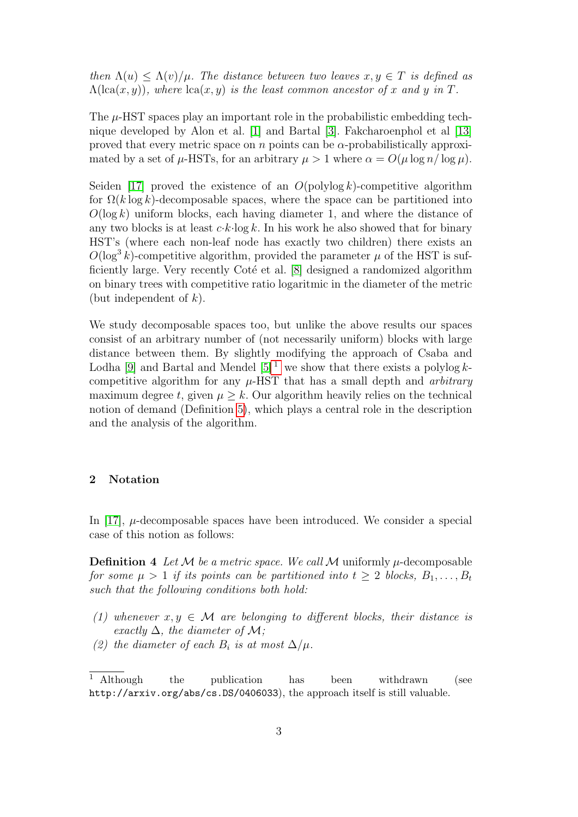then  $\Lambda(u) \leq \Lambda(v)/\mu$ . The distance between two leaves  $x, y \in T$  is defined as  $\Lambda(\text{lca}(x, y))$ , where  $\text{lca}(x, y)$  is the least common ancestor of x and y in T.

The  $\mu$ -HST spaces play an important role in the probabilistic embedding technique developed by Alon et al. [\[1\]](#page-14-0) and Bartal [\[3\]](#page-15-7). Fakcharoenphol et al [\[13\]](#page-15-8) proved that every metric space on n points can be  $\alpha$ -probabilistically approximated by a set of  $\mu$ -HSTs, for an arbitrary  $\mu > 1$  where  $\alpha = O(\mu \log n / \log \mu)$ .

Seiden [\[17\]](#page-15-9) proved the existence of an  $O(\text{polylog }k)$ -competitive algorithm for  $\Omega(k \log k)$ -decomposable spaces, where the space can be partitioned into  $O(\log k)$  uniform blocks, each having diameter 1, and where the distance of any two blocks is at least  $c \cdot k \cdot \log k$ . In his work he also showed that for binary HST's (where each non-leaf node has exactly two children) there exists an  $O(\log^3 k)$ -competitive algorithm, provided the parameter  $\mu$  of the HST is sufficiently large. Very recently Coté et al.  $[8]$  designed a randomized algorithm on binary trees with competitive ratio logaritmic in the diameter of the metric (but independent of  $k$ ).

We study decomposable spaces too, but unlike the above results our spaces consist of an arbitrary number of (not necessarily uniform) blocks with large distance between them. By slightly modifying the approach of Csaba and Lodha [\[9\]](#page-15-11) and Bartal and Mendel  $[5]$ <sup>[1](#page-2-0)</sup> we show that there exists a polylog kcompetitive algorithm for any  $\mu$ -HST that has a small depth and *arbitrary* maximum degree t, given  $\mu \geq k$ . Our algorithm heavily relies on the technical notion of demand (Definition [5\)](#page-3-0), which plays a central role in the description and the analysis of the algorithm.

#### 2 Notation

In [\[17\]](#page-15-9),  $\mu$ -decomposable spaces have been introduced. We consider a special case of this notion as follows:

**Definition 4** Let M be a metric space. We call M uniformly  $\mu$ -decomposable for some  $\mu > 1$  if its points can be partitioned into  $t \geq 2$  blocks,  $B_1, \ldots, B_t$ such that the following conditions both hold:

- (1) whenever  $x, y \in \mathcal{M}$  are belonging to different blocks, their distance is exactly  $\Delta$ , the diameter of M;
- (2) the diameter of each  $B_i$  is at most  $\Delta/\mu$ .

<span id="page-2-0"></span><sup>&</sup>lt;sup>1</sup> Although the publication has been withdrawn (see http://arxiv.org/abs/cs.DS/0406033), the approach itself is still valuable.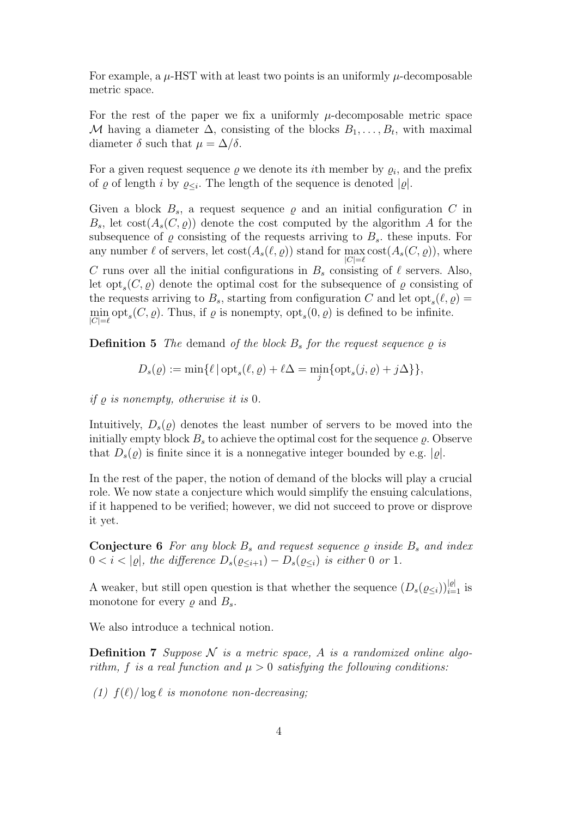For example, a  $\mu$ -HST with at least two points is an uniformly  $\mu$ -decomposable metric space.

For the rest of the paper we fix a uniformly  $\mu$ -decomposable metric space M having a diameter  $\Delta$ , consisting of the blocks  $B_1, \ldots, B_t$ , with maximal diameter  $\delta$  such that  $\mu = \Delta/\delta$ .

For a given request sequence  $\rho$  we denote its *i*th member by  $\rho_i$ , and the prefix of  $\varrho$  of length i by  $\varrho_{\leq i}$ . The length of the sequence is denoted  $|\varrho|$ .

Given a block  $B_s$ , a request sequence  $\varrho$  and an initial configuration C in  $B_s$ , let cost $(A_s(C, \rho))$  denote the cost computed by the algorithm A for the subsequence of  $\varrho$  consisting of the requests arriving to  $B_s$ . these inputs. For any number  $\ell$  of servers, let  $\text{cost}(A_s(\ell, \varrho))$  stand for  $\max_{\ell} \text{cost}(A_s(C, \varrho))$ , where  $|C|=\ell$ C runs over all the initial configurations in  $B_s$  consisting of  $\ell$  servers. Also, let  $opt_s(C, \varrho)$  denote the optimal cost for the subsequence of  $\varrho$  consisting of the requests arriving to  $B_s$ , starting from configuration C and let  $\text{opt}_s(\ell, \varrho) =$  $\min_{|C|= \ell} \text{opt}_s(C, \varrho)$ . Thus, if  $\varrho$  is nonempty,  $\text{opt}_s(0, \varrho)$  is defined to be infinite.

<span id="page-3-0"></span>**Definition 5** The demand of the block  $B_s$  for the request sequence  $\rho$  is

$$
D_s(\varrho) := \min \{ \ell \, | \, \mathrm{opt}_s(\ell, \varrho) + \ell \Delta = \min_j \{ \mathrm{opt}_s(j, \varrho) + j \Delta \} \},
$$

if  $\rho$  is nonempty, otherwise it is 0.

Intuitively,  $D_s(\rho)$  denotes the least number of servers to be moved into the initially empty block  $B_s$  to achieve the optimal cost for the sequence  $\rho$ . Observe that  $D_s(\rho)$  is finite since it is a nonnegative integer bounded by e.g.  $|\rho|$ .

In the rest of the paper, the notion of demand of the blocks will play a crucial role. We now state a conjecture which would simplify the ensuing calculations, if it happened to be verified; however, we did not succeed to prove or disprove it yet.

<span id="page-3-2"></span>**Conjecture 6** For any block  $B_s$  and request sequence  $\rho$  inside  $B_s$  and index  $0 < i < |\varrho|$ , the difference  $D_s(\varrho_{\leq i+1}) - D_s(\varrho_{\leq i})$  is either 0 or 1.

A weaker, but still open question is that whether the sequence  $(D_s(\varrho_{\leq i}))_{i=1}^{|\varrho|}$  is monotone for every  $\rho$  and  $B_s$ .

<span id="page-3-1"></span>We also introduce a technical notion.

**Definition 7** Suppose  $N$  is a metric space, A is a randomized online algorithm, f is a real function and  $\mu > 0$  satisfying the following conditions:

(1)  $f(\ell)/\log \ell$  is monotone non-decreasing;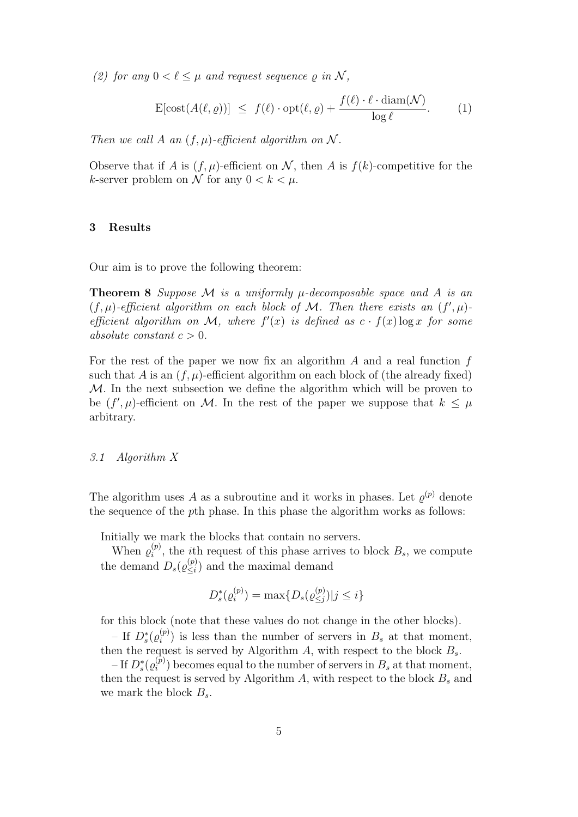(2) for any  $0 < \ell \leq \mu$  and request sequence  $\rho$  in N,

<span id="page-4-1"></span>
$$
\mathbf{E}[\text{cost}(A(\ell, \varrho))] \ \leq \ f(\ell) \cdot \text{opt}(\ell, \varrho) + \frac{f(\ell) \cdot \ell \cdot \text{diam}(\mathcal{N})}{\log \ell}. \tag{1}
$$

Then we call A an  $(f, \mu)$ -efficient algorithm on N.

Observe that if A is  $(f, \mu)$ -efficient on N, then A is  $f(k)$ -competitive for the k-server problem on N for any  $0 < k < \mu$ .

#### 3 Results

<span id="page-4-0"></span>Our aim is to prove the following theorem:

**Theorem 8** Suppose M is a uniformly  $\mu$ -decomposable space and A is an  $(f, \mu)$ -efficient algorithm on each block of M. Then there exists an  $(f', \mu)$ efficient algorithm on M, where  $f'(x)$  is defined as  $c \cdot f(x) \log x$  for some absolute constant  $c > 0$ .

For the rest of the paper we now fix an algorithm  $A$  and a real function  $f$ such that A is an  $(f, \mu)$ -efficient algorithm on each block of (the already fixed)  $M$ . In the next subsection we define the algorithm which will be proven to be  $(f', \mu)$ -efficient on M. In the rest of the paper we suppose that  $k \leq \mu$ arbitrary.

#### 3.1 Algorithm X

The algorithm uses A as a subroutine and it works in phases. Let  $\varrho^{(p)}$  denote the sequence of the pth phase. In this phase the algorithm works as follows:

Initially we mark the blocks that contain no servers.

When  $\varrho_i^{(p)}$  $i^{(p)}$ , the *i*th request of this phase arrives to block  $B_s$ , we compute the demand  $D_s(\varrho_{\leq i}^{(p)})$  $\binom{p}{\leq i}$  and the maximal demand

$$
D_s^*(\varrho_i^{(p)}) = \max\{D_s(\varrho_{\le j}^{(p)})|j \le i\}
$$

for this block (note that these values do not change in the other blocks).

– If  $D_s^*(\varrho_i^{(p)}$  $\binom{p}{i}$  is less than the number of servers in  $B_s$  at that moment, then the request is served by Algorithm A, with respect to the block  $B_s$ .

– If  $D^*_s(\varrho^{(\bar{p})}_i$  $i^{(p)}$  becomes equal to the number of servers in  $B_s$  at that moment, then the request is served by Algorithm A, with respect to the block  $B_s$  and we mark the block  $B_s$ .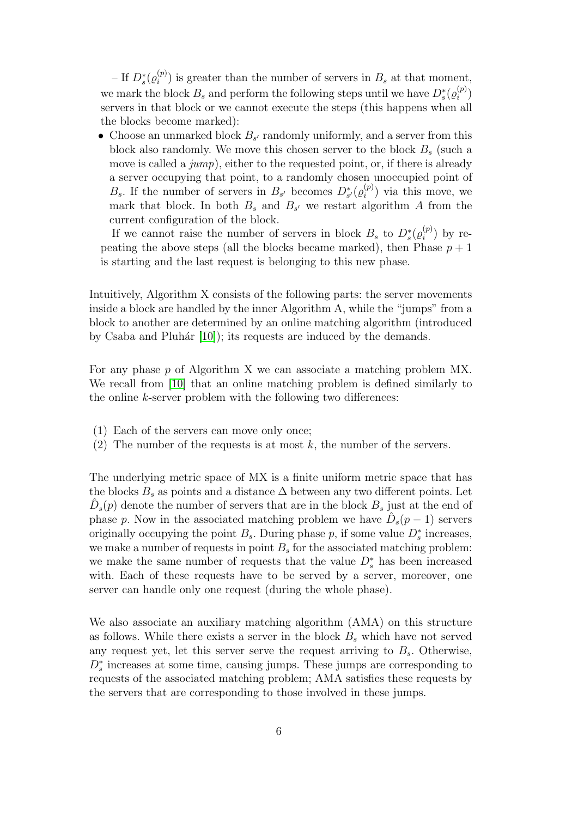– If  $D_s^*(\varrho_i^{(p)}$  $i^{(p)}$  is greater than the number of servers in  $B_s$  at that moment, we mark the block  $B_s$  and perform the following steps until we have  $D_s^*(\varrho_i^{(p)})$  $\binom{(p)}{i}$ servers in that block or we cannot execute the steps (this happens when all the blocks become marked):

• Choose an unmarked block  $B_{s'}$  randomly uniformly, and a server from this block also randomly. We move this chosen server to the block  $B_s$  (such a move is called a  $jump$ , either to the requested point, or, if there is already a server occupying that point, to a randomly chosen unoccupied point of  $B_s$ . If the number of servers in  $B_{s'}$  becomes  $D_{s'}^*(\varrho_i^{(p)})$  $\binom{p}{i}$  via this move, we mark that block. In both  $B_s$  and  $B_{s'}$  we restart algorithm A from the current configuration of the block.

If we cannot raise the number of servers in block  $B_s$  to  $D_s^*(\varrho_i^{(p)})$  $b_i^{(p)}$ ) by repeating the above steps (all the blocks became marked), then Phase  $p + 1$ is starting and the last request is belonging to this new phase.

Intuitively, Algorithm X consists of the following parts: the server movements inside a block are handled by the inner Algorithm A, while the "jumps" from a block to another are determined by an online matching algorithm (introduced by Csaba and Pluhár  $[10]$ ; its requests are induced by the demands.

For any phase p of Algorithm X we can associate a matching problem MX. We recall from [\[10\]](#page-15-13) that an online matching problem is defined similarly to the online  $k$ -server problem with the following two differences:

- (1) Each of the servers can move only once;
- (2) The number of the requests is at most  $k$ , the number of the servers.

The underlying metric space of MX is a finite uniform metric space that has the blocks  $B_s$  as points and a distance  $\Delta$  between any two different points. Let  $\hat{D}_s(p)$  denote the number of servers that are in the block  $B_s$  just at the end of phase p. Now in the associated matching problem we have  $\hat{D}_s(p-1)$  servers originally occupying the point  $B_s$ . During phase p, if some value  $D_s^*$  increases, we make a number of requests in point  $B_s$  for the associated matching problem: we make the same number of requests that the value  $D_s^*$  has been increased with. Each of these requests have to be served by a server, moreover, one server can handle only one request (during the whole phase).

We also associate an auxiliary matching algorithm (AMA) on this structure as follows. While there exists a server in the block  $B<sub>s</sub>$  which have not served any request yet, let this server serve the request arriving to  $B_s$ . Otherwise,  $D_s^*$  increases at some time, causing jumps. These jumps are corresponding to requests of the associated matching problem; AMA satisfies these requests by the servers that are corresponding to those involved in these jumps.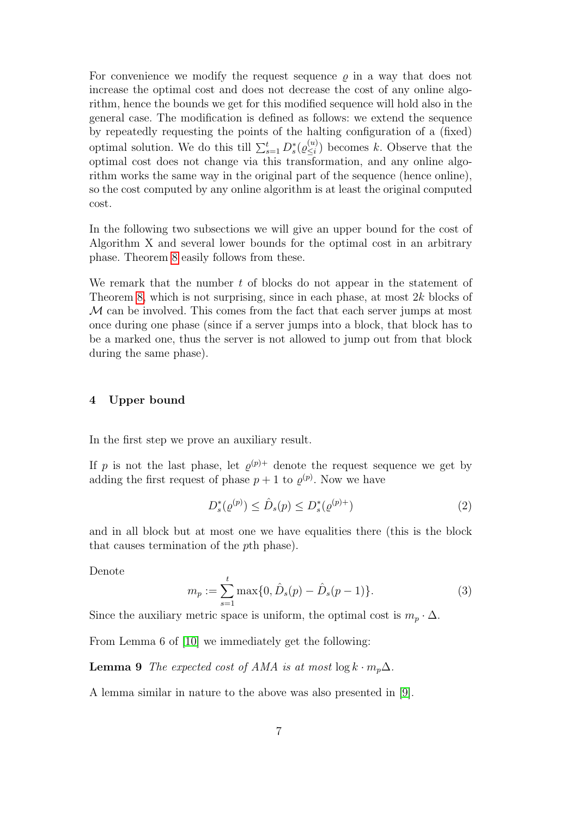For convenience we modify the request sequence  $\rho$  in a way that does not increase the optimal cost and does not decrease the cost of any online algorithm, hence the bounds we get for this modified sequence will hold also in the general case. The modification is defined as follows: we extend the sequence by repeatedly requesting the points of the halting configuration of a (fixed) optimal solution. We do this till  $\sum_{s=1}^{t} D_s^*(\varrho_{\leq i}^{(u)})$  $\binom{u}{\leq i}$  becomes k. Observe that the optimal cost does not change via this transformation, and any online algorithm works the same way in the original part of the sequence (hence online), so the cost computed by any online algorithm is at least the original computed cost.

In the following two subsections we will give an upper bound for the cost of Algorithm X and several lower bounds for the optimal cost in an arbitrary phase. Theorem [8](#page-4-0) easily follows from these.

We remark that the number  $t$  of blocks do not appear in the statement of Theorem [8,](#page-4-0) which is not surprising, since in each phase, at most  $2k$  blocks of M can be involved. This comes from the fact that each server jumps at most once during one phase (since if a server jumps into a block, that block has to be a marked one, thus the server is not allowed to jump out from that block during the same phase).

#### 4 Upper bound

In the first step we prove an auxiliary result.

If p is not the last phase, let  $\varrho^{(p)+}$  denote the request sequence we get by adding the first request of phase  $p + 1$  to  $\varrho^{(p)}$ . Now we have

$$
D_s^*(\varrho^{(p)}) \le \hat{D}_s(p) \le D_s^*(\varrho^{(p)+})
$$
\n(2)

and in all block but at most one we have equalities there (this is the block that causes termination of the pth phase).

Denote

<span id="page-6-1"></span>
$$
m_p := \sum_{s=1}^t \max\{0, \hat{D}_s(p) - \hat{D}_s(p-1)\}.
$$
 (3)

Since the auxiliary metric space is uniform, the optimal cost is  $m_p \cdot \Delta$ .

From Lemma 6 of [\[10\]](#page-15-13) we immediately get the following:

**Lemma 9** The expected cost of AMA is at most  $\log k \cdot m_p \Delta$ .

<span id="page-6-0"></span>A lemma similar in nature to the above was also presented in [\[9\]](#page-15-11).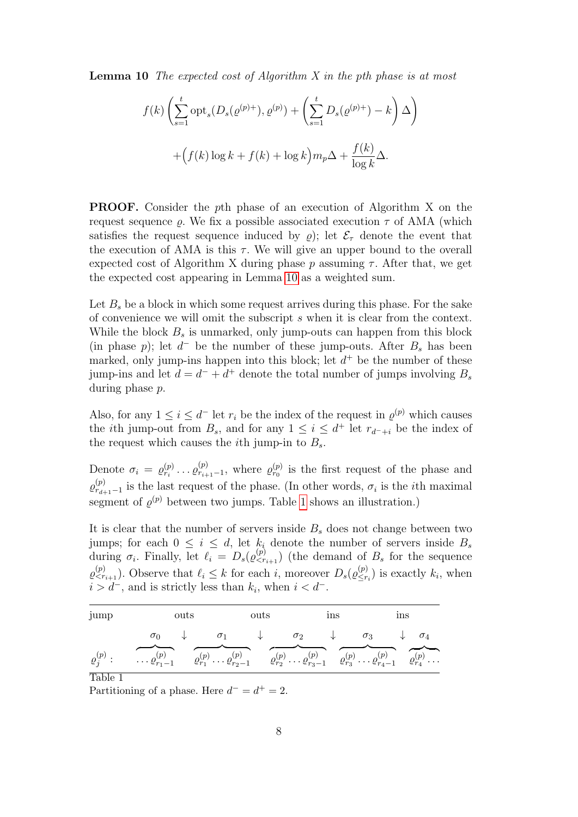**Lemma 10** The expected cost of Algorithm X in the pth phase is at most

$$
f(k)\left(\sum_{s=1}^{t} \mathrm{opt}_s(D_s(\varrho^{(p)+}), \varrho^{(p)}) + \left(\sum_{s=1}^{t} D_s(\varrho^{(p)+}) - k\right)\Delta\right)
$$

$$
+ \left(f(k)\log k + f(k) + \log k\right)m_p\Delta + \frac{f(k)}{\log k}\Delta.
$$

PROOF. Consider the pth phase of an execution of Algorithm X on the request sequence  $\rho$ . We fix a possible associated execution  $\tau$  of AMA (which satisfies the request sequence induced by  $\rho$ ; let  $\mathcal{E}_{\tau}$  denote the event that the execution of AMA is this  $\tau$ . We will give an upper bound to the overall expected cost of Algorithm X during phase p assuming  $\tau$ . After that, we get the expected cost appearing in Lemma [10](#page-6-0) as a weighted sum.

Let  $B_s$  be a block in which some request arrives during this phase. For the sake of convenience we will omit the subscript s when it is clear from the context. While the block  $B_s$  is unmarked, only jump-outs can happen from this block (in phase p); let  $d^-$  be the number of these jump-outs. After  $B_s$  has been marked, only jump-ins happen into this block; let  $d^+$  be the number of these jump-ins and let  $d = d^- + d^+$  denote the total number of jumps involving  $B_s$ during phase p.

Also, for any  $1 \leq i \leq d^-$  let  $r_i$  be the index of the request in  $\varrho^{(p)}$  which causes the *i*th jump-out from  $B_s$ , and for any  $1 \leq i \leq d^+$  let  $r_{d^-+i}$  be the index of the request which causes the *i*th jump-in to  $B_s$ .

Denote  $\sigma_i = \varrho_{r_i}^{(p)} \dots \varrho_{r_{i+1}}^{(p)}$  $r_{i+1-1}^{(p)}$ , where  $\varrho_{r_0}^{(p)}$  is the first request of the phase and  $\varrho_{r_A}^{(p)}$  $r_{d+1-1}^{(p)}$  is the last request of the phase. (In other words,  $\sigma_i$  is the *i*th maximal segment of  $\varrho^{(p)}$  between two jumps. Table [1](#page-7-0) shows an illustration.)

It is clear that the number of servers inside  $B_s$  does not change between two jumps; for each  $0 \leq i \leq d$ , let  $k_i$  denote the number of servers inside  $B_s$ during  $\sigma_i$ . Finally, let  $\ell_i = D_s(\varrho_{\leq r_{i+1}}^{(p)})$  (the demand of  $B_s$  for the sequence  $\varrho_{\leq r_{i+1}}^{(p)}$ ). Observe that  $\ell_i \leq k$  for each i, moreover  $D_s(\varrho_{\leq r}^{(p)})$  $\binom{p}{\leq r_i}$  is exactly  $k_i$ , when  $i > d^-$ , and is strictly less than  $k_i$ , when  $i < d^-$ .

| jump    | outs                                                                                                                                                                                                                                                                 |  |                                                                                    | outs |  | <i>ins</i> | ıns |  |
|---------|----------------------------------------------------------------------------------------------------------------------------------------------------------------------------------------------------------------------------------------------------------------------|--|------------------------------------------------------------------------------------|------|--|------------|-----|--|
|         | $\sigma$ <sup>0</sup>                                                                                                                                                                                                                                                |  | $\sigma_1$ $\downarrow$ $\sigma_2$ $\downarrow$ $\sigma_3$ $\downarrow$ $\sigma_4$ |      |  |            |     |  |
| Table 1 | $\varrho^{(p)}_j: \qquad \ldots \varrho^{(p)}_{r_1-1} \qquad \varrho^{(p)}_{r_1} \ldots \varrho^{(p)}_{r_2-1} \qquad \varrho^{(p)}_{r_2} \ldots \varrho^{(p)}_{r_3-1} \qquad \varrho^{(p)}_{r_3} \ldots \varrho^{(p)}_{r_{4}-1} \qquad \varrho^{(p)}_{r_{4}} \ldots$ |  |                                                                                    |      |  |            |     |  |

<span id="page-7-0"></span>Partitioning of a phase. Here  $d^- = d^+ = 2$ .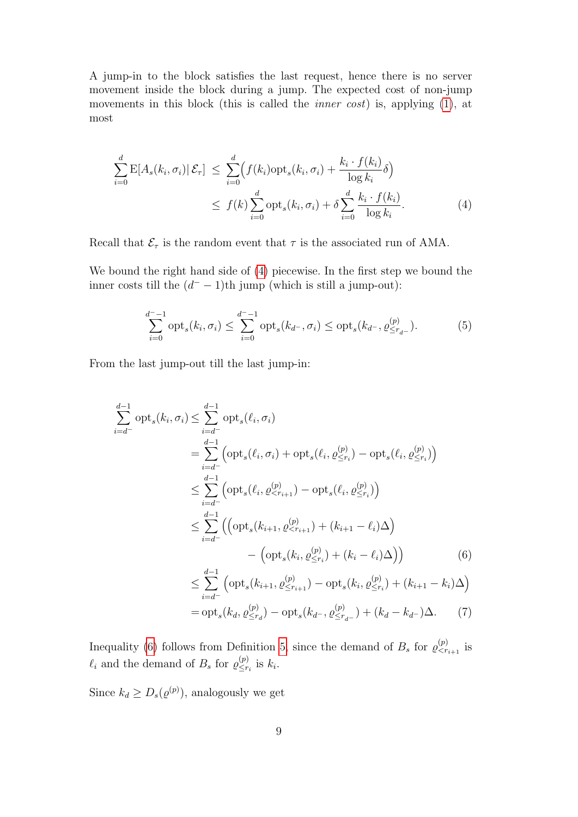A jump-in to the block satisfies the last request, hence there is no server movement inside the block during a jump. The expected cost of non-jump movements in this block (this is called the *inner cost*) is, applying [\(1\)](#page-4-1), at most

<span id="page-8-0"></span>
$$
\sum_{i=0}^{d} \mathcal{E}[A_s(k_i, \sigma_i) | \mathcal{E}_{\tau}] \leq \sum_{i=0}^{d} \Big(f(k_i) \text{opt}_s(k_i, \sigma_i) + \frac{k_i \cdot f(k_i)}{\log k_i} \delta\Big) \leq f(k) \sum_{i=0}^{d} \text{opt}_s(k_i, \sigma_i) + \delta \sum_{i=0}^{d} \frac{k_i \cdot f(k_i)}{\log k_i}.
$$
 (4)

Recall that  $\mathcal{E}_{\tau}$  is the random event that  $\tau$  is the associated run of AMA.

We bound the right hand side of [\(4\)](#page-8-0) piecewise. In the first step we bound the inner costs till the  $(d^- - 1)$ th jump (which is still a jump-out):

<span id="page-8-2"></span>
$$
\sum_{i=0}^{d^--1} \text{opt}_s(k_i, \sigma_i) \le \sum_{i=0}^{d^--1} \text{opt}_s(k_{d^-}, \sigma_i) \le \text{opt}_s(k_{d^-}, \varrho_{\le r_{d^-}}^{(p)}). \tag{5}
$$

From the last jump-out till the last jump-in:

<span id="page-8-1"></span>
$$
\sum_{i=d^{-}}^{d-1} \text{opt}_{s}(k_{i}, \sigma_{i}) \leq \sum_{i=d^{-}}^{d-1} \text{opt}_{s}(\ell_{i}, \sigma_{i})
$$
\n
$$
= \sum_{i=d^{-}}^{d-1} \left( \text{opt}_{s}(\ell_{i}, \sigma_{i}) + \text{opt}_{s}(\ell_{i}, \varrho_{\leq r_{i}}^{(p)}) - \text{opt}_{s}(\ell_{i}, \varrho_{\leq r_{i}}^{(p)}) \right)
$$
\n
$$
\leq \sum_{i=d^{-}}^{d-1} \left( \text{opt}_{s}(\ell_{i}, \varrho_{\leq r_{i+1}}^{(p)}) - \text{opt}_{s}(\ell_{i}, \varrho_{\leq r_{i}}^{(p)}) \right)
$$
\n
$$
\leq \sum_{i=d^{-}}^{d-1} \left( \left( \text{opt}_{s}(k_{i+1}, \varrho_{\leq r_{i+1}}^{(p)}) + (k_{i+1} - \ell_{i}) \Delta \right) - \left( \text{opt}_{s}(k_{i}, \varrho_{\leq r_{i}}^{(p)}) + (k_{i} - \ell_{i}) \Delta \right) \right) \tag{6}
$$
\n
$$
\leq \sum_{i=d^{-}}^{d-1} \left( \text{opt}_{s}(k_{i+1}, \varrho_{\leq r_{i+1}}^{(p)}) - \text{opt}_{s}(k_{i}, \varrho_{\leq r_{i}}^{(p)}) + (k_{i+1} - k_{i}) \Delta \right)
$$
\n
$$
= \text{opt}_{s}(k_{d}, \varrho_{\leq r_{d}}^{(p)}) - \text{opt}_{s}(k_{d^{-}}, \varrho_{\leq r_{d^{-}}^{(p)}} + (k_{d} - k_{d^{-}}) \Delta. \tag{7}
$$

Inequality [\(6\)](#page-8-1) follows from Definition [5,](#page-3-0) since the demand of  $B_s$  for  $\varrho_{\langle r_{i+1} \rangle}^{(p)}$  is  $\ell_i$  and the demand of  $B_s$  for  $\varrho_{\leq r}^{(p)}$  $\sum_{i=1}^{(p)}$  is  $k_i$ .

Since  $k_d \geq D_s(\varrho^{(p)})$ , analogously we get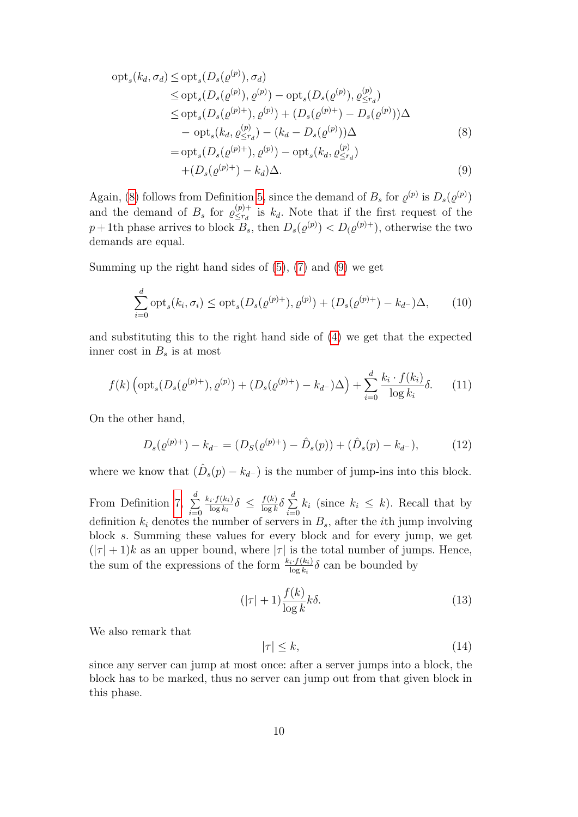<span id="page-9-0"></span>
$$
opt_s(k_d, \sigma_d) \le opt_s(D_s(\varrho^{(p)}), \sigma_d)
$$
  
\n
$$
\le opt_s(D_s(\varrho^{(p)}), \varrho^{(p)}) - opt_s(D_s(\varrho^{(p)}), \varrho^{(p)})
$$
  
\n
$$
\le opt_s(D_s(\varrho^{(p)+}), \varrho^{(p)}) + (D_s(\varrho^{(p)+}) - D_s(\varrho^{(p)}))\Delta
$$
  
\n
$$
- opt_s(k_d, \varrho^{(p)}_{\le r_d}) - (k_d - D_s(\varrho^{(p)}))\Delta
$$
  
\n
$$
= opt_s(D_s(\varrho^{(p)+}), \varrho^{(p)}) - opt_s(k_d, \varrho^{(p)}_{\le r_d})
$$
\n(8)

$$
+(D_s(\varrho^{(p)+})-k_d)\Delta.\tag{9}
$$

Again, [\(8\)](#page-9-0) follows from Definition [5,](#page-3-0) since the demand of  $B_s$  for  $\varrho^{(p)}$  is  $D_s(\varrho^{(p)})$ and the demand of  $B_s$  for  $\varrho_{\leq r_d}^{(p)+}$  $\sum_{i=1}^{(p)+1}$  is  $k_d$ . Note that if the first request of the  $p+1$ th phase arrives to block  $B_s$ , then  $D_s(\varrho^{(p)}) < D(\varrho^{(p)+})$ , otherwise the two demands are equal.

Summing up the right hand sides of [\(5\)](#page-8-2), [\(7\)](#page-8-1) and [\(9\)](#page-9-0) we get

$$
\sum_{i=0}^{d} \text{opt}_{s}(k_{i}, \sigma_{i}) \leq \text{opt}_{s}(D_{s}(\varrho^{(p)+}), \varrho^{(p)}) + (D_{s}(\varrho^{(p)+}) - k_{d-})\Delta, \qquad (10)
$$

and substituting this to the right hand side of [\(4\)](#page-8-0) we get that the expected inner cost in  $B_s$  is at most

<span id="page-9-1"></span>
$$
f(k)\left(\text{opt}_s(D_s(\varrho^{(p)+}),\varrho^{(p)}) + (D_s(\varrho^{(p)+}) - k_{d-})\Delta\right) + \sum_{i=0}^d \frac{k_i \cdot f(k_i)}{\log k_i} \delta. \tag{11}
$$

On the other hand,

<span id="page-9-2"></span>
$$
D_s(\varrho^{(p)+}) - k_{d-} = (D_S(\varrho^{(p)+}) - \hat{D}_s(p)) + (\hat{D}_s(p) - k_{d-}), \tag{12}
$$

where we know that  $(\hat{D}_s(p) - k_{d-})$  is the number of jump-ins into this block.

From Definition [7,](#page-3-1)  $\sum_{i=1}^{d}$  $i=0$  $k_i\!\cdot\!f(k_i)$  $\frac{i \cdot f(k_i)}{\log k_i} \delta \ \leq \ \frac{f(k)}{\log k}$  $\frac{f(k)}{\log k} \delta \sum_{i=0}^d$  $\sum_{i=0} k_i$  (since  $k_i \leq k$ ). Recall that by definition  $k_i$  denotes the number of servers in  $B_s$ , after the *i*th jump involving block s. Summing these values for every block and for every jump, we get  $(|\tau|+1)k$  as an upper bound, where  $|\tau|$  is the total number of jumps. Hence, the sum of the expressions of the form  $\frac{k_i \cdot f(k_i)}{\log k_i} \delta$  can be bounded by

<span id="page-9-3"></span>
$$
(|\tau| + 1) \frac{f(k)}{\log k} k\delta. \tag{13}
$$

We also remark that

<span id="page-9-4"></span>
$$
|\tau| \le k,\tag{14}
$$

since any server can jump at most once: after a server jumps into a block, the block has to be marked, thus no server can jump out from that given block in this phase.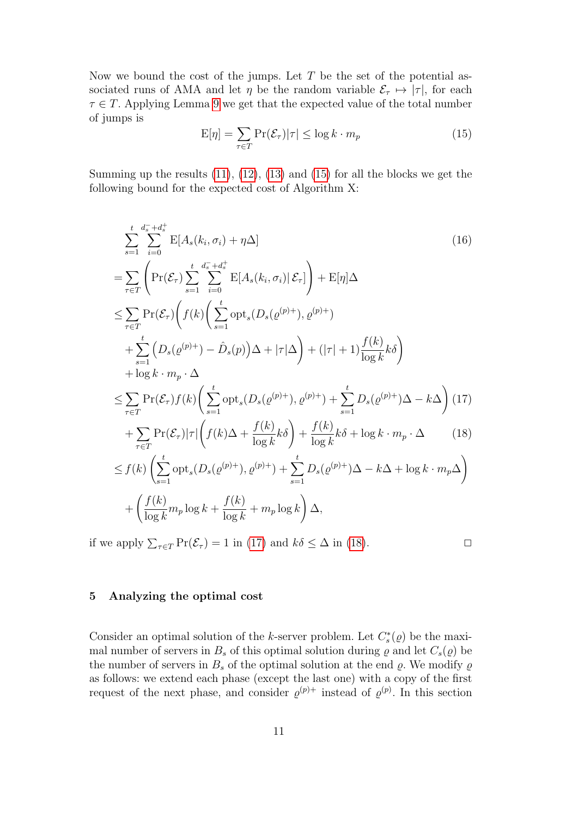Now we bound the cost of the jumps. Let  $T$  be the set of the potential associated runs of AMA and let  $\eta$  be the random variable  $\mathcal{E}_{\tau} \mapsto |\tau|$ , for each  $\tau \in T$ . Applying Lemma [9](#page-6-1) we get that the expected value of the total number of jumps is

<span id="page-10-0"></span>
$$
E[\eta] = \sum_{\tau \in T} \Pr(\mathcal{E}_{\tau}) |\tau| \le \log k \cdot m_p \tag{15}
$$

Summing up the results  $(11)$ ,  $(12)$ ,  $(13)$  and  $(15)$  for all the blocks we get the following bound for the expected cost of Algorithm X:

<span id="page-10-1"></span>
$$
\sum_{s=1}^{t} \sum_{i=0}^{d_s^- + d_s^+} \mathbb{E}[A_s(k_i, \sigma_i) + \eta \Delta] \qquad (16)
$$
\n
$$
= \sum_{\tau \in \mathcal{T}} \left( \Pr(\mathcal{E}_{\tau}) \sum_{s=1}^{t} \sum_{i=0}^{d_s^- + d_s^+} \mathbb{E}[A_s(k_i, \sigma_i) | \mathcal{E}_{\tau}] \right) + \mathbb{E}[\eta] \Delta
$$
\n
$$
\leq \sum_{\tau \in \mathcal{T}} \Pr(\mathcal{E}_{\tau}) \left( f(k) \left( \sum_{s=1}^{t} \mathrm{opt}_s(D_s(\varrho^{(p)+}), \varrho^{(p)+}) \right) + \sum_{s=1}^{t} \left( D_s(\varrho^{(p)+}) - \hat{D}_s(p) \right) \Delta + |\tau| \Delta \right) + (|\tau| + 1) \frac{f(k)}{\log k} k \delta \right)
$$
\n
$$
+ \log k \cdot m_p \cdot \Delta
$$
\n
$$
\leq \sum_{\tau \in \mathcal{T}} \Pr(\mathcal{E}_{\tau}) f(k) \left( \sum_{s=1}^{t} \mathrm{opt}_s(D_s(\varrho^{(p)+}), \varrho^{(p)+}) + \sum_{s=1}^{t} D_s(\varrho^{(p)+}) \Delta - k \Delta \right) (17)
$$
\n
$$
+ \sum_{\tau \in \mathcal{T}} \Pr(\mathcal{E}_{\tau}) |\tau| \left( f(k) \Delta + \frac{f(k)}{\log k} k \delta \right) + \frac{f(k)}{\log k} k \delta + \log k \cdot m_p \cdot \Delta \qquad (18)
$$
\n
$$
\leq f(k) \left( \sum_{s=1}^{t} \mathrm{opt}_s(D_s(\varrho^{(p)+}), \varrho^{(p)+}) + \sum_{s=1}^{t} D_s(\varrho^{(p)+}) \Delta - k \Delta + \log k \cdot m_p \Delta \right)
$$
\n
$$
+ \left( \frac{f(k)}{\log k} m_p \log k + \frac{f(k)}{\log k} + m_p \log k \right) \Delta,
$$

if we apply  $\sum_{\tau \in T} \Pr(\mathcal{E}_{\tau}) = 1$  in [\(17\)](#page-10-1) and  $k\delta \leq \Delta$  in [\(18\)](#page-10-1).

### 5 Analyzing the optimal cost

Consider an optimal solution of the k-server problem. Let  $C_s^*(\varrho)$  be the maximal number of servers in  $B_s$  of this optimal solution during  $\varrho$  and let  $C_s(\varrho)$  be the number of servers in  $B_s$  of the optimal solution at the end  $\varrho$ . We modify  $\varrho$ as follows: we extend each phase (except the last one) with a copy of the first request of the next phase, and consider  $\varrho^{(p)+}$  instead of  $\varrho^{(p)}$ . In this section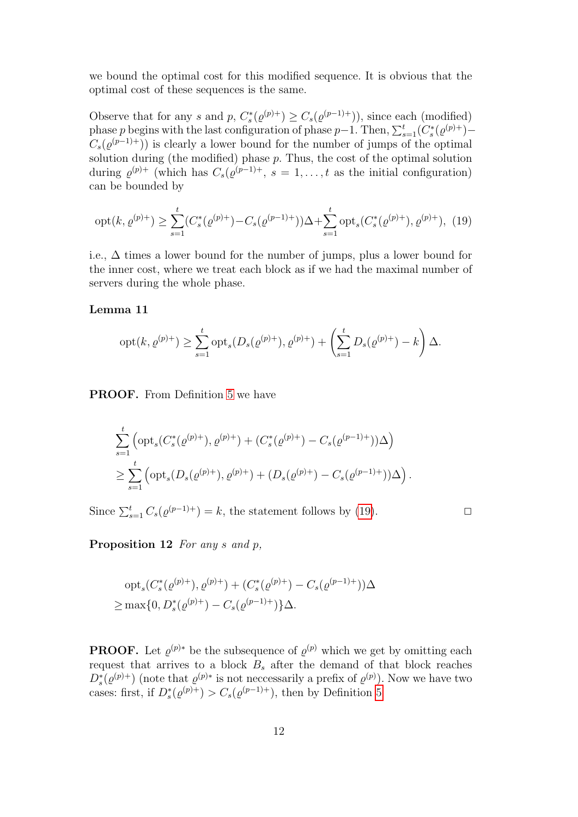we bound the optimal cost for this modified sequence. It is obvious that the optimal cost of these sequences is the same.

Observe that for any s and p,  $C_s^*(\varrho^{(p)+}) \geq C_s(\varrho^{(p-1)+}))$ , since each (modified) phase p begins with the last configuration of phase p-1. Then,  $\sum_{s=1}^{t} (C_s^*(\varrho^{(p)+}))$ - $C_s(\varrho^{(p-1)+}))$  is clearly a lower bound for the number of jumps of the optimal solution during (the modified) phase  $p$ . Thus, the cost of the optimal solution during  $\varrho^{(p)+}$  (which has  $C_s(\varrho^{(p-1)+}, s = 1, \ldots, t$  as the initial configuration) can be bounded by

<span id="page-11-0"></span>
$$
opt(k, \varrho^{(p)+}) \ge \sum_{s=1}^{t} (C_s^*(\varrho^{(p)+}) - C_s(\varrho^{(p-1)+})) \Delta + \sum_{s=1}^{t} \text{opt}_s(C_s^*(\varrho^{(p)+}), \varrho^{(p)+}), \tag{19}
$$

i.e., ∆ times a lower bound for the number of jumps, plus a lower bound for the inner cost, where we treat each block as if we had the maximal number of servers during the whole phase.

#### <span id="page-11-2"></span>Lemma 11

$$
opt(k, \varrho^{(p)+}) \ge \sum_{s=1}^{t} opt_s(D_s(\varrho^{(p)+}), \varrho^{(p)+}) + \left(\sum_{s=1}^{t} D_s(\varrho^{(p)+}) - k\right)\Delta.
$$

PROOF. From Definition [5](#page-3-0) we have

$$
\sum_{s=1}^{t} \left( \operatorname{opt}_s(C_s^*(\varrho^{(p)+}), \varrho^{(p)+}) + (C_s^*(\varrho^{(p)+}) - C_s(\varrho^{(p-1)+}))\Delta \right)
$$
  

$$
\geq \sum_{s=1}^{t} \left( \operatorname{opt}_s(D_s(\varrho^{(p)+}), \varrho^{(p)+}) + (D_s(\varrho^{(p)+}) - C_s(\varrho^{(p-1)+}))\Delta \right).
$$

Since  $\sum_{s=1}^{t} C_s(\varrho^{(p-1)+}) = k$ , the statement follows by [\(19\)](#page-11-0).

$$
\Box
$$

<span id="page-11-1"></span>Proposition 12 For any s and p,

$$
opt_s(C_s^*(\varrho^{(p)+}), \varrho^{(p)+}) + (C_s^*(\varrho^{(p)+}) - C_s(\varrho^{(p-1)+}))\Delta
$$
  
\n
$$
\geq \max\{0, D_s^*(\varrho^{(p)+}) - C_s(\varrho^{(p-1)+})\}\Delta.
$$

**PROOF.** Let  $\varrho^{(p)}$  be the subsequence of  $\varrho^{(p)}$  which we get by omitting each request that arrives to a block  $B_s$  after the demand of that block reaches  $D_s^*(\varrho^{(p)+})$  (note that  $\varrho^{(p)*}$  is not necessarily a prefix of  $\varrho^{(p)}$ ). Now we have two cases: first, if  $D_s^*(\varrho^{(p)+}) > C_s(\varrho^{(p-1)+})$ , then by Definition [5](#page-3-0)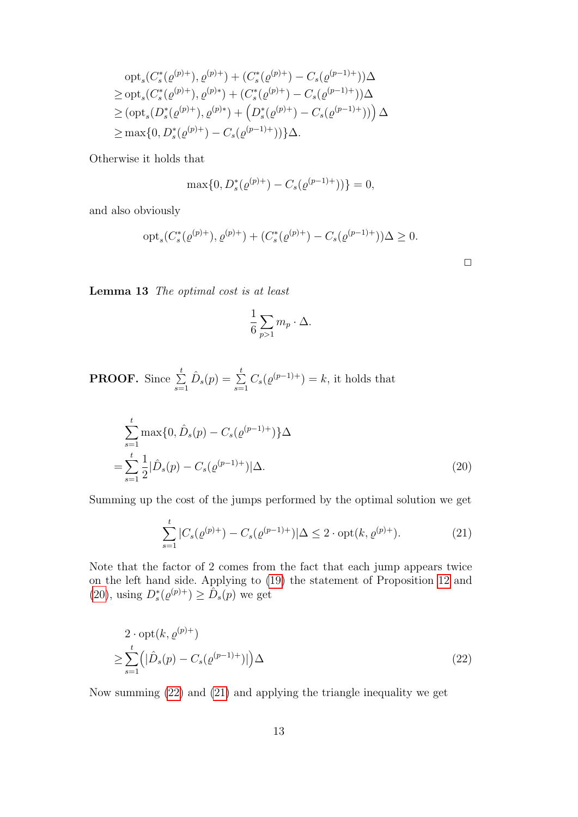<span id="page-12-0"></span>
$$
opt_s(C_s^*(\varrho^{(p)+}), \varrho^{(p)+}) + (C_s^*(\varrho^{(p)+}) - C_s(\varrho^{(p-1)+}))\Delta
$$
  
\n
$$
\geq opt_s(C_s^*(\varrho^{(p)+}), \varrho^{(p)*}) + (C_s^*(\varrho^{(p)+}) - C_s(\varrho^{(p-1)+}))\Delta
$$
  
\n
$$
\geq (opt_s(D_s^*(\varrho^{(p)+}), \varrho^{(p)*}) + (D_s^*(\varrho^{(p)+}) - C_s(\varrho^{(p-1)+}))\Delta
$$
  
\n
$$
\geq \max\{0, D_s^*(\varrho^{(p)+}) - C_s(\varrho^{(p-1)+}))\}\Delta.
$$

Otherwise it holds that

$$
\max\{0, D_s^*(\varrho^{(p)+}) - C_s(\varrho^{(p-1)+}))\} = 0,
$$

and also obviously

$$
opt_s(C_s^*(\varrho^{(p)+}), \varrho^{(p)+}) + (C_s^*(\varrho^{(p)+}) - C_s(\varrho^{(p-1)+}))\Delta \ge 0.
$$

 $\Box$ 

<span id="page-12-3"></span>Lemma 13 The optimal cost is at least

$$
\frac{1}{6}\sum_{p>1}m_p\cdot\Delta.
$$

**PROOF.** Since  $\sum_{i=1}^{t}$  $\sum_{s=1}^{t} \hat{D}_s(p) = \sum_{s=1}^{t}$  $\sum_{s=1}^{s} C_s(\varrho^{(p-1)+}) = k$ , it holds that

$$
\sum_{s=1}^{t} \max\{0, \hat{D}_s(p) - C_s(\varrho^{(p-1)+})\}\Delta
$$
  
= 
$$
\sum_{s=1}^{t} \frac{1}{2} |\hat{D}_s(p) - C_s(\varrho^{(p-1)+})|\Delta.
$$
 (20)

Summing up the cost of the jumps performed by the optimal solution we get

<span id="page-12-2"></span>
$$
\sum_{s=1}^{t} |C_s(\varrho^{(p)+}) - C_s(\varrho^{(p-1)+})| \Delta \le 2 \cdot \text{opt}(k, \varrho^{(p)+}). \tag{21}
$$

Note that the factor of 2 comes from the fact that each jump appears twice on the left hand side. Applying to [\(19\)](#page-11-0) the statement of Proposition [12](#page-11-1) and [\(20\)](#page-12-0), using  $D_s^*(\varrho^{(p)+}) \geq \tilde{D}_s(p)$  we get

<span id="page-12-1"></span>
$$
2 \cdot \operatorname{opt}(k, \varrho^{(p)+})
$$
  
\n
$$
\geq \sum_{s=1}^{t} \left( \left| \hat{D}_s(p) - C_s(\varrho^{(p-1)+}) \right| \right) \Delta
$$
\n(22)

Now summing [\(22\)](#page-12-1) and [\(21\)](#page-12-2) and applying the triangle inequality we get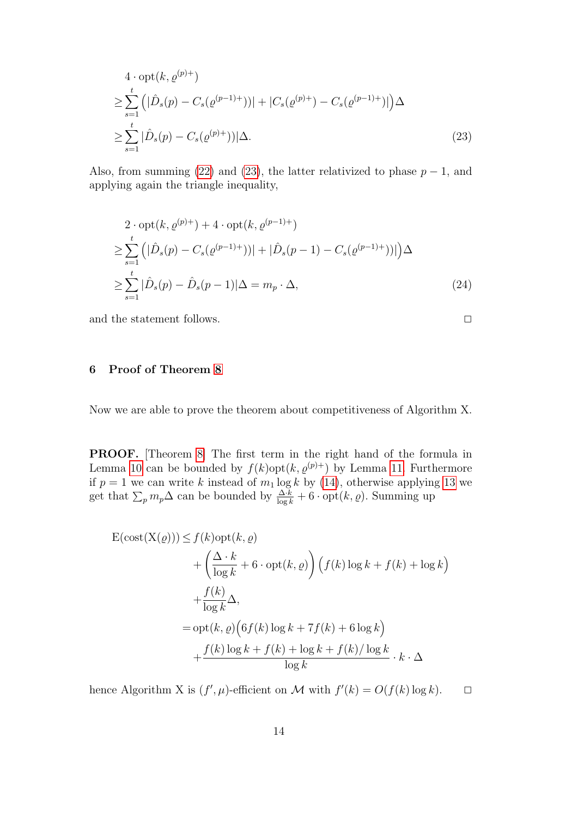<span id="page-13-0"></span>
$$
4 \cdot \operatorname{opt}(k, \varrho^{(p)+})
$$
  
\n
$$
\geq \sum_{s=1}^{t} \left( |\hat{D}_s(p) - C_s(\varrho^{(p-1)+}))| + |C_s(\varrho^{(p)+}) - C_s(\varrho^{(p-1)+}))| \right) \Delta
$$
  
\n
$$
\geq \sum_{s=1}^{t} |\hat{D}_s(p) - C_s(\varrho^{(p)+}))| \Delta.
$$
\n(23)

Also, from summing [\(22\)](#page-12-1) and [\(23\)](#page-13-0), the latter relativized to phase  $p-1$ , and applying again the triangle inequality,

$$
2 \cdot \operatorname{opt}(k, \varrho^{(p)+}) + 4 \cdot \operatorname{opt}(k, \varrho^{(p-1)+})
$$
  
\n
$$
\geq \sum_{s=1}^{t} \left( |\hat{D}_s(p) - C_s(\varrho^{(p-1)+}))| + |\hat{D}_s(p-1) - C_s(\varrho^{(p-1)+}))| \right) \Delta
$$
  
\n
$$
\geq \sum_{s=1}^{t} |\hat{D}_s(p) - \hat{D}_s(p-1)| \Delta = m_p \cdot \Delta,
$$
\n(24)

and the statement follows.  $\Box$ 

# 6 Proof of Theorem [8](#page-4-0)

Now we are able to prove the theorem about competitiveness of Algorithm X.

PROOF. [Theorem [8\]](#page-4-0) The first term in the right hand of the formula in Lemma [10](#page-6-0) can be bounded by  $f(k)$ opt $(k, \varrho^{(p)+})$  by Lemma [11.](#page-11-2) Furthermore if  $p = 1$  we can write k instead of  $m_1 \log k$  by [\(14\)](#page-9-4), otherwise applying [13](#page-12-3) we get that  $\sum_p m_p \Delta$  can be bounded by  $\frac{\Delta \cdot k}{\log k} + 6 \cdot \mathrm{opt}(k, \varrho)$ . Summing up

$$
E(\text{cost}(X(\varrho))) \le f(k)\text{opt}(k, \varrho)
$$
  
+  $\left(\frac{\Delta \cdot k}{\log k} + 6 \cdot \text{opt}(k, \varrho)\right) (f(k)\log k + f(k) + \log k)$   
+  $\frac{f(k)}{\log k} \Delta$ ,  
= opt(k, \varrho) (6f(k)\log k + 7f(k) + 6 \log k)  
+  $\frac{f(k)\log k + f(k) + \log k + f(k)/\log k}{\log k} \cdot k \cdot \Delta$ 

hence Algorithm X is  $(f', \mu)$ -efficient on M with  $f'(k) = O(f(k) \log k)$ .  $\Box$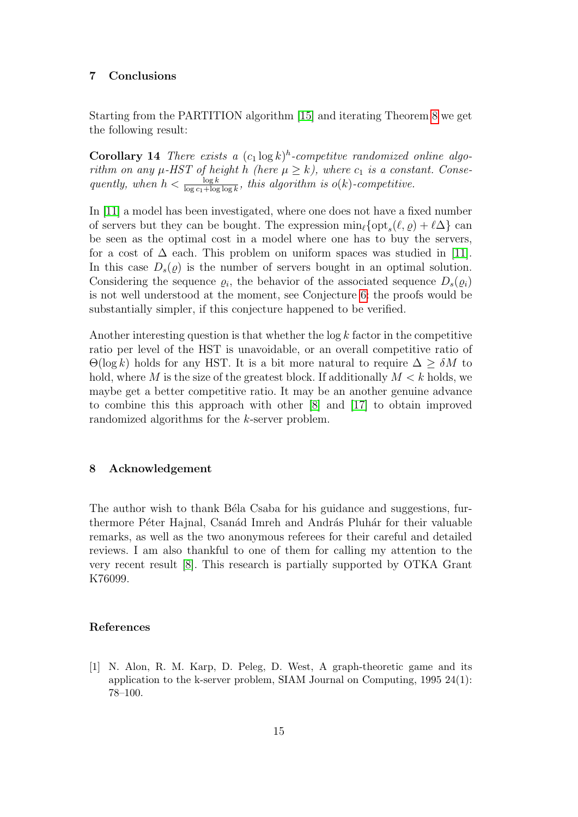#### 7 Conclusions

Starting from the PARTITION algorithm [\[15\]](#page-15-6) and iterating Theorem [8](#page-4-0) we get the following result:

**Corollary 14** There exists a  $(c_1 \log k)^h$ -competitve randomized online algorithm on any  $\mu$ -HST of height h (here  $\mu \geq k$ ), where  $c_1$  is a constant. Consequently, when  $h < \frac{\log k}{\log c_1 + \log \log k}$ , this algorithm is  $o(k)$ -competitive.

In [\[11\]](#page-15-14) a model has been investigated, where one does not have a fixed number of servers but they can be bought. The expression  $\min_{\ell} {\{\text{opt}_s(\ell, \varrho) + \ell \Delta\}}$  can be seen as the optimal cost in a model where one has to buy the servers, for a cost of  $\Delta$  each. This problem on uniform spaces was studied in [\[11\]](#page-15-14). In this case  $D_s(q)$  is the number of servers bought in an optimal solution. Considering the sequence  $\varrho_i$ , the behavior of the associated sequence  $D_s(\varrho_i)$ is not well understood at the moment, see Conjecture [6:](#page-3-2) the proofs would be substantially simpler, if this conjecture happened to be verified.

Another interesting question is that whether the  $\log k$  factor in the competitive ratio per level of the HST is unavoidable, or an overall competitive ratio of  $\Theta(\log k)$  holds for any HST. It is a bit more natural to require  $\Delta \geq \delta M$  to hold, where M is the size of the greatest block. If additionally  $M < k$  holds, we maybe get a better competitive ratio. It may be an another genuine advance to combine this this approach with other [\[8\]](#page-15-10) and [\[17\]](#page-15-9) to obtain improved randomized algorithms for the k-server problem.

### 8 Acknowledgement

The author wish to thank Béla Csaba for his guidance and suggestions, furthermore Péter Hajnal, Csanád Imreh and András Pluhár for their valuable remarks, as well as the two anonymous referees for their careful and detailed reviews. I am also thankful to one of them for calling my attention to the very recent result [\[8\]](#page-15-10). This research is partially supported by OTKA Grant K76099.

#### References

<span id="page-14-0"></span>[1] N. Alon, R. M. Karp, D. Peleg, D. West, A graph-theoretic game and its application to the k-server problem, SIAM Journal on Computing, 1995 24(1): 78–100.